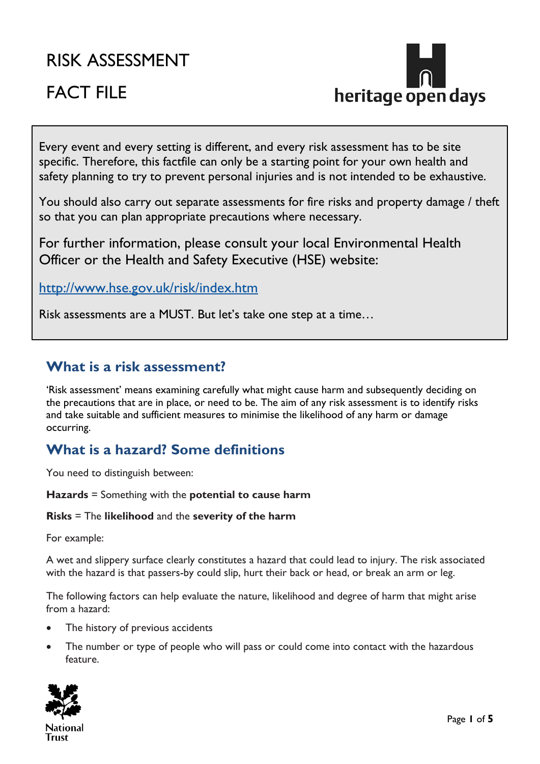# RISK ASSESSMENT

# FACT FILE



Every event and every setting is different, and every risk assessment has to be site specific. Therefore, this factfile can only be a starting point for your own health and safety planning to try to prevent personal injuries and is not intended to be exhaustive.

You should also carry out separate assessments for fire risks and property damage / theft so that you can plan appropriate precautions where necessary.

For further information, please consult your local Environmental Health Officer or the Health and Safety Executive (HSE) website:

<http://www.hse.gov.uk/risk/index.htm>

Risk assessments are a MUST. But let's take one step at a time…

### **What is a risk assessment?**

'Risk assessment' means examining carefully what might cause harm and subsequently deciding on the precautions that are in place, or need to be. The aim of any risk assessment is to identify risks and take suitable and sufficient measures to minimise the likelihood of any harm or damage occurring.

# **What is a hazard? Some definitions**

You need to distinguish between:

**Hazards** = Something with the **potential to cause harm**

#### **Risks** = The **likelihood** and the **severity of the harm**

For example:

A wet and slippery surface clearly constitutes a hazard that could lead to injury. The risk associated with the hazard is that passers-by could slip, hurt their back or head, or break an arm or leg.

The following factors can help evaluate the nature, likelihood and degree of harm that might arise from a hazard:

- The history of previous accidents
- The number or type of people who will pass or could come into contact with the hazardous feature.

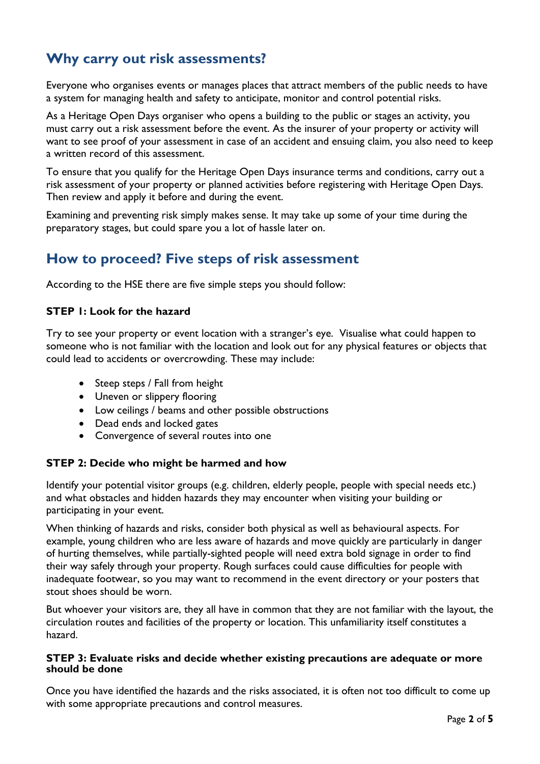# **Why carry out risk assessments?**

Everyone who organises events or manages places that attract members of the public needs to have a system for managing health and safety to anticipate, monitor and control potential risks.

As a Heritage Open Days organiser who opens a building to the public or stages an activity, you must carry out a risk assessment before the event. As the insurer of your property or activity will want to see proof of your assessment in case of an accident and ensuing claim, you also need to keep a written record of this assessment.

To ensure that you qualify for the Heritage Open Days insurance terms and conditions, carry out a risk assessment of your property or planned activities before registering with Heritage Open Days. Then review and apply it before and during the event.

Examining and preventing risk simply makes sense. It may take up some of your time during the preparatory stages, but could spare you a lot of hassle later on.

### **How to proceed? Five steps of risk assessment**

According to the HSE there are five simple steps you should follow:

#### **STEP 1: Look for the hazard**

Try to see your property or event location with a stranger's eye. Visualise what could happen to someone who is not familiar with the location and look out for any physical features or objects that could lead to accidents or overcrowding. These may include:

- Steep steps / Fall from height
- Uneven or slippery flooring
- Low ceilings / beams and other possible obstructions
- Dead ends and locked gates
- Convergence of several routes into one

#### **STEP 2: Decide who might be harmed and how**

Identify your potential visitor groups (e.g. children, elderly people, people with special needs etc.) and what obstacles and hidden hazards they may encounter when visiting your building or participating in your event.

When thinking of hazards and risks, consider both physical as well as behavioural aspects. For example, young children who are less aware of hazards and move quickly are particularly in danger of hurting themselves, while partially-sighted people will need extra bold signage in order to find their way safely through your property. Rough surfaces could cause difficulties for people with inadequate footwear, so you may want to recommend in the event directory or your posters that stout shoes should be worn.

But whoever your visitors are, they all have in common that they are not familiar with the layout, the circulation routes and facilities of the property or location. This unfamiliarity itself constitutes a hazard.

#### **STEP 3: Evaluate risks and decide whether existing precautions are adequate or more should be done**

Once you have identified the hazards and the risks associated, it is often not too difficult to come up with some appropriate precautions and control measures.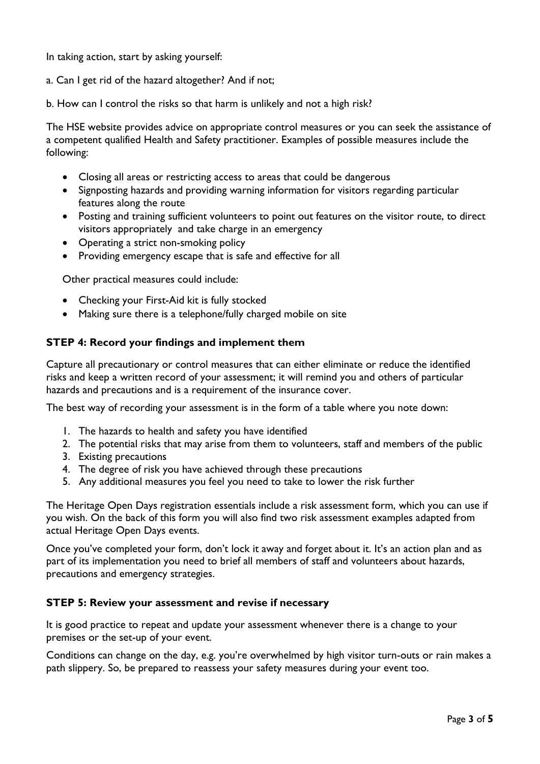In taking action, start by asking yourself:

- a. Can I get rid of the hazard altogether? And if not;
- b. How can I control the risks so that harm is unlikely and not a high risk?

The HSE website provides advice on appropriate control measures or you can seek the assistance of a competent qualified Health and Safety practitioner. Examples of possible measures include the following:

- Closing all areas or restricting access to areas that could be dangerous
- Signposting hazards and providing warning information for visitors regarding particular features along the route
- Posting and training sufficient volunteers to point out features on the visitor route, to direct visitors appropriately and take charge in an emergency
- Operating a strict non-smoking policy
- Providing emergency escape that is safe and effective for all

Other practical measures could include:

- Checking your First-Aid kit is fully stocked
- Making sure there is a telephone/fully charged mobile on site

#### **STEP 4: Record your findings and implement them**

Capture all precautionary or control measures that can either eliminate or reduce the identified risks and keep a written record of your assessment; it will remind you and others of particular hazards and precautions and is a requirement of the insurance cover.

The best way of recording your assessment is in the form of a table where you note down:

- 1. The hazards to health and safety you have identified
- 2. The potential risks that may arise from them to volunteers, staff and members of the public
- 3. Existing precautions
- 4. The degree of risk you have achieved through these precautions
- 5. Any additional measures you feel you need to take to lower the risk further

The Heritage Open Days registration essentials include a risk assessment form, which you can use if you wish. On the back of this form you will also find two risk assessment examples adapted from actual Heritage Open Days events.

Once you've completed your form, don't lock it away and forget about it. It's an action plan and as part of its implementation you need to brief all members of staff and volunteers about hazards, precautions and emergency strategies.

#### **STEP 5: Review your assessment and revise if necessary**

It is good practice to repeat and update your assessment whenever there is a change to your premises or the set-up of your event.

Conditions can change on the day, e.g. you're overwhelmed by high visitor turn-outs or rain makes a path slippery. So, be prepared to reassess your safety measures during your event too.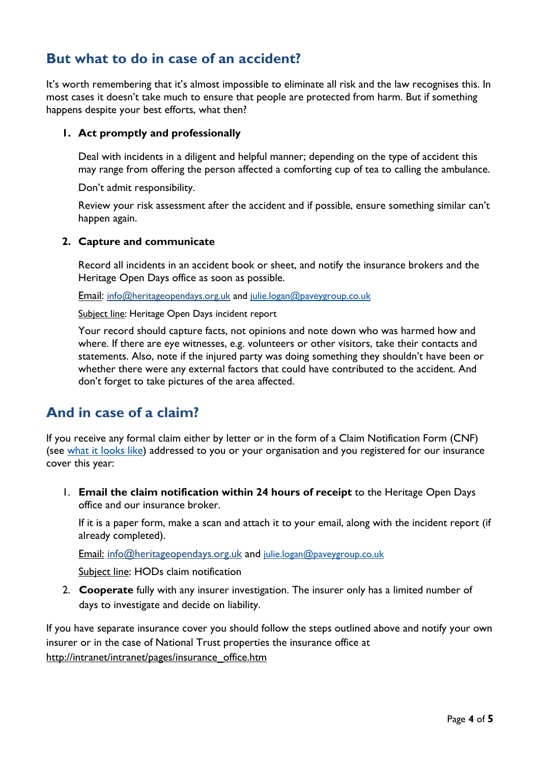## **But what to do in case of an accident?**

It's worth remembering that it's almost impossible to eliminate all risk and the law recognises this. In most cases it doesn't take much to ensure that people are protected from harm. But if something happens despite your best efforts, what then?

#### **1. Act promptly and professionally**

Deal with incidents in a diligent and helpful manner; depending on the type of accident this may range from offering the person affected a comforting cup of tea to calling the ambulance.

Don't admit responsibility.

Review your risk assessment after the accident and if possible, ensure something similar can't happen again.

#### **2. Capture and communicate**

Record all incidents in an accident book or sheet, and notify the insurance brokers and the Heritage Open Days office as soon as possible.

Email: [info@heritageopendays.org.uk](mailto:info@heritageopendays.org.uk) and [julie.logan@paveygroup.co.uk](mailto:julie.logan@paveygroup.co.uk)

Subject line: Heritage Open Days incident report

Your record should capture facts, not opinions and note down who was harmed how and where. If there are eye witnesses, e.g. volunteers or other visitors, take their contacts and statements. Also, note if the injured party was doing something they shouldn't have been or whether there were any external factors that could have contributed to the accident. And don't forget to take pictures of the area affected.

# **And in case of a claim?**

If you receive any formal claim either by letter or in the form of a Claim Notification Form (CNF) (see [what it looks like\)](http://www.justice.gov.uk/courts/procedure-rules/civil/pdf/low-value-personal-injury-sceheme/pl1-claim-notification-pack.pdf) addressed to you or your organisation and you registered for our insurance cover this year:

1. **Email the claim notification within 24 hours of receipt** to the Heritage Open Days office and our insurance broker.

If it is a paper form, make a scan and attach it to your email, along with the incident report (if already completed).

Email: [info@heritageopendays.org.uk](mailto:info@heritageopendays.org.uk) and [julie.logan@paveygroup.co.uk](mailto:julie.logan@paveygroup.co.uk)

Subject line: HODs claim notification

2. **Cooperate** fully with any insurer investigation. The insurer only has a limited number of days to investigate and decide on liability.

If you have separate insurance cover you should follow the steps outlined above and notify your own insurer or in the case of National Trust properties the insurance office at [http://intranet/intranet/pages/insurance\\_office.htm](http://intranet/intranet/pages/insurance_office.htm)